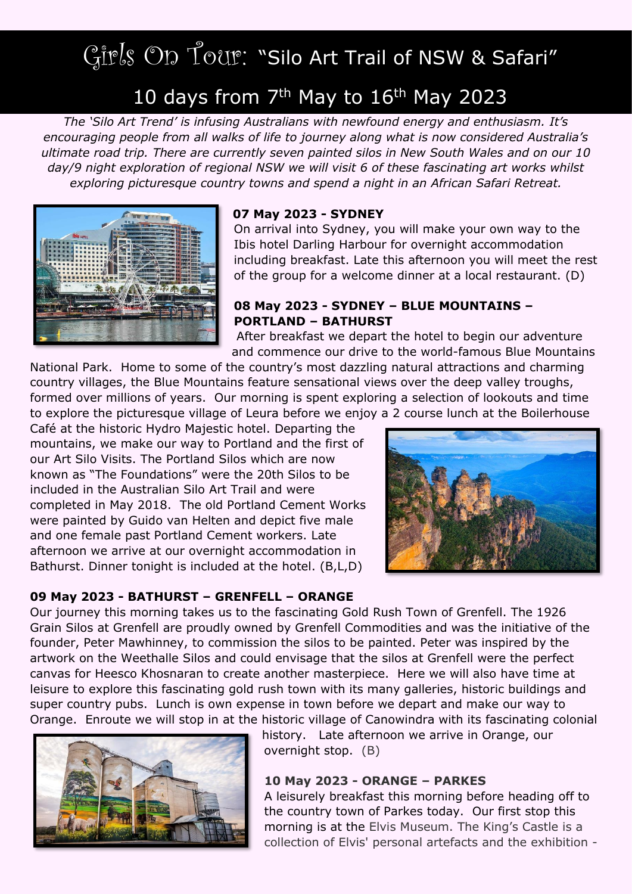# Girls On Tour: "Silo Art Trail of NSW & Safari"

## 10 days from  $7<sup>th</sup>$  May to  $16<sup>th</sup>$  May 2023

*The 'Silo Art Trend' is infusing Australians with newfound energy and enthusiasm. It's encouraging people from all walks of life to journey along what is now considered Australia's ultimate road trip. There are currently seven painted silos in New South Wales and on our 10 day/9 night exploration of regional NSW we will visit 6 of these fascinating art works whilst exploring picturesque country towns and spend a night in an African Safari Retreat.*



#### **07 May 2023 - SYDNEY**

On arrival into Sydney, you will make your own way to the Ibis hotel Darling Harbour for overnight accommodation including breakfast. Late this afternoon you will meet the rest of the group for a welcome dinner at a local restaurant. (D)

#### **08 May 2023 - SYDNEY – BLUE MOUNTAINS – PORTLAND – BATHURST**

After breakfast we depart the hotel to begin our adventure and commence our drive to the world-famous Blue Mountains

National Park. Home to some of the country's most dazzling natural attractions and charming country villages, the Blue Mountains feature sensational views over the deep valley troughs, formed over millions of years. Our morning is spent exploring a selection of lookouts and time to explore the picturesque village of Leura before we enjoy a 2 course lunch at the Boilerhouse

Café at the historic Hydro Majestic hotel. Departing the mountains, we make our way to Portland and the first of our Art Silo Visits. The Portland Silos which are now known as "The Foundations" were the 20th Silos to be included in the Australian Silo Art Trail and were completed in May 2018. The old Portland Cement Works were painted by Guido van Helten and depict five male and one female past Portland Cement workers. Late afternoon we arrive at our overnight accommodation in Bathurst. Dinner tonight is included at the hotel. (B,L,D)



#### **09 May 2023 - BATHURST – GRENFELL – ORANGE**

Our journey this morning takes us to the fascinating Gold Rush Town of Grenfell. The 1926 Grain Silos at Grenfell are proudly owned by Grenfell Commodities and was the initiative of the founder, Peter Mawhinney, to commission the silos to be painted. Peter was inspired by the artwork on the Weethalle Silos and could envisage that the silos at Grenfell were the perfect canvas for Heesco Khosnaran to create another masterpiece. Here we will also have time at leisure to explore this fascinating gold rush town with its many galleries, historic buildings and super country pubs. Lunch is own expense in town before we depart and make our way to Orange. Enroute we will stop in at the historic village of Canowindra with its fascinating colonial



history. Late afternoon we arrive in Orange, our overnight stop. (B)

#### **10 May 2023 - ORANGE – PARKES**

A leisurely breakfast this morning before heading off to the country town of Parkes today. Our first stop this morning is at the Elvis Museum. The King's Castle is a collection of Elvis' personal artefacts and the exhibition -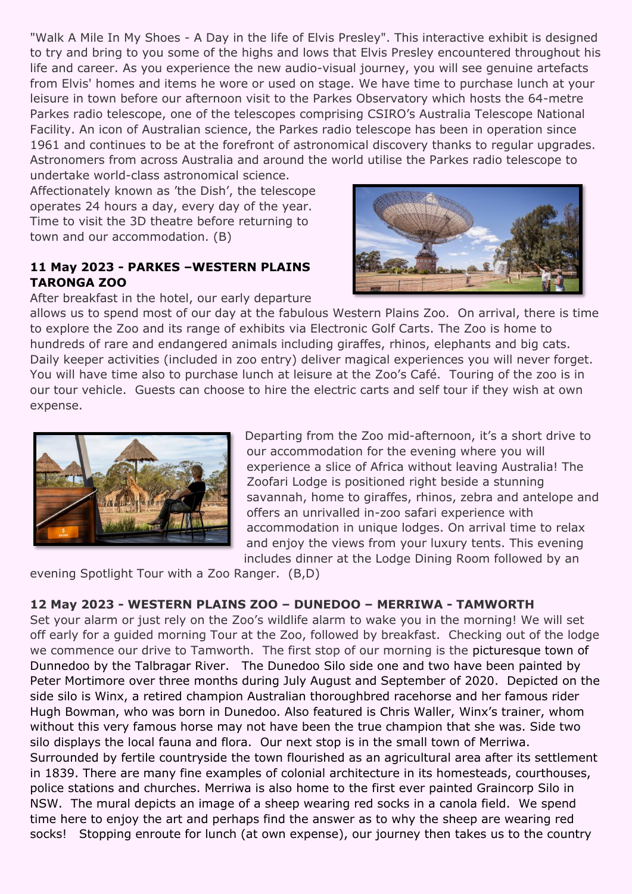"Walk A Mile In My Shoes - A Day in the life of Elvis Presley". This interactive exhibit is designed to try and bring to you some of the highs and lows that Elvis Presley encountered throughout his life and career. As you experience the new audio-visual journey, you will see genuine artefacts from Elvis' homes and items he wore or used on stage. We have time to purchase lunch at your leisure in town before our afternoon visit to the Parkes Observatory which hosts the 64-metre Parkes radio telescope, one of the telescopes comprising CSIRO's Australia Telescope National Facility. An icon of Australian science, the Parkes radio telescope has been in operation since 1961 and continues to be at the forefront of astronomical discovery thanks to regular upgrades. Astronomers from across Australia and around the world utilise the Parkes radio telescope to

undertake world-class astronomical science. Affectionately known as 'the Dish', the telescope operates 24 hours a day, every day of the year. Time to visit the 3D theatre before returning to town and our accommodation. (B)

#### **11 May 2023 - PARKES –WESTERN PLAINS TARONGA ZOO**

After breakfast in the hotel, our early departure



allows us to spend most of our day at the fabulous Western Plains Zoo. On arrival, there is time to explore the Zoo and its range of exhibits via Electronic Golf Carts. The Zoo is home to hundreds of rare and endangered animals including giraffes, rhinos, elephants and big cats. Daily keeper activities (included in zoo entry) deliver magical experiences you will never forget. You will have time also to purchase lunch at leisure at the Zoo's Café. Touring of the zoo is in our tour vehicle. Guests can choose to hire the electric carts and self tour if they wish at own expense.



Departing from the Zoo mid-afternoon, it's a short drive to our accommodation for the evening where you will experience a slice of Africa without leaving Australia! The Zoofari Lodge is positioned right beside a stunning savannah, home to giraffes, rhinos, zebra and antelope and offers an unrivalled in-zoo safari experience with accommodation in unique lodges. On arrival time to relax and enjoy the views from your luxury tents. This evening includes dinner at the Lodge Dining Room followed by an

evening Spotlight Tour with a Zoo Ranger. (B,D)

#### **12 May 2023 - WESTERN PLAINS ZOO – DUNEDOO – MERRIWA - TAMWORTH**

Set your alarm or just rely on the Zoo's wildlife alarm to wake you in the morning! We will set off early for a guided morning Tour at the Zoo, followed by breakfast. Checking out of the lodge we commence our drive to Tamworth. The first stop of our morning is the picturesque town of Dunnedoo by the Talbragar River. The Dunedoo Silo side one and two have been painted by Peter Mortimore over three months during July August and September of 2020. Depicted on the side silo is Winx, a retired champion Australian thoroughbred racehorse and her famous rider Hugh Bowman, who was born in Dunedoo. Also featured is Chris Waller, Winx's trainer, whom without this very famous horse may not have been the true champion that she was. Side two silo displays the local fauna and flora. Our next stop is in the small town of Merriwa. Surrounded by fertile countryside the town flourished as an agricultural area after its settlement in 1839. There are many fine examples of colonial architecture in its homesteads, courthouses, police stations and churches. Merriwa is also home to the first ever painted Graincorp Silo in NSW. The mural depicts an image of a sheep wearing red socks in a canola field. We spend time here to enjoy the art and perhaps find the answer as to why the sheep are wearing red socks! Stopping enroute for lunch (at own expense), our journey then takes us to the country